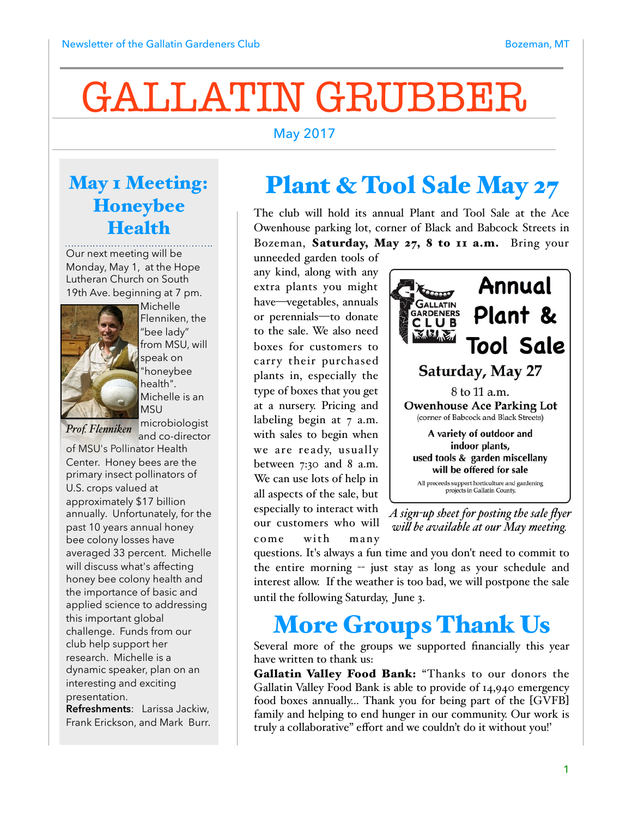# GALLATIN GRUBBER

#### May 2017

#### May 1 Meeting: Honeybee **Health**

Our next meeting will be Monday, May 1, at the Hope Lutheran Church on South 19th Ave. beginning at 7 pm.



Michelle Flenniken, the "bee lady" from MSU, will speak on "honeybee health". Michelle is an MSU microbiologist

*Prof. Flenniken*

and co-director

of MSU's Pollinator Health Center. Honey bees are the primary insect pollinators of U.S. crops valued at approximately \$17 billion annually. Unfortunately, for the past 10 years annual honey bee colony losses have averaged 33 percent. Michelle will discuss what's affecting honey bee colony health and the importance of basic and applied science to addressing this important global challenge. Funds from our club help support her research. Michelle is a dynamic speaker, plan on an interesting and exciting presentation.

**Refreshments**: Larissa Jackiw, Frank Erickson, and Mark Burr.

# Plant & Tool Sale May 27

The club will hold its annual Plant and Tool Sale at the Ace Owenhouse parking lot, corner of Black and Babcock Streets in Bozeman, Saturday, May 27, 8 to 11 a.m. Bring your

unneeded garden tools of any kind, along with any extra plants you might have—vegetables, annuals or perennials—to donate to the sale. We also need boxes for customers to carry their purchased plants in, especially the type of boxes that you get at a nursery. Pricing and labeling begin at 7 a.m. with sales to begin when we are ready, usually between  $7:30$  and  $8$  a.m. We can use lots of help in all aspects of the sale, but especially to interact with our customers who will come with many



*A sign-up sheet for posting the sale flyer wil be available at our May meeting.*

questions. It's always a fun time and you don't need to commit to the entire morning -- just stay as long as your schedule and interest allow. If the weather is too bad, we will postpone the sale until the following Saturday, June 3.

### More Groups Thank Us

Several more of the groups we supported financially this year have written to thank us:

Gallatin Valley Food Bank: "Thanks to our donors the Gallatin Valley Food Bank is able to provide of 14,940 emergency food boxes annually… Thank you for being part of the [GVFB] family and helping to end hunger in our community. Our work is truly a collaborative" effort and we couldn't do it without you!'